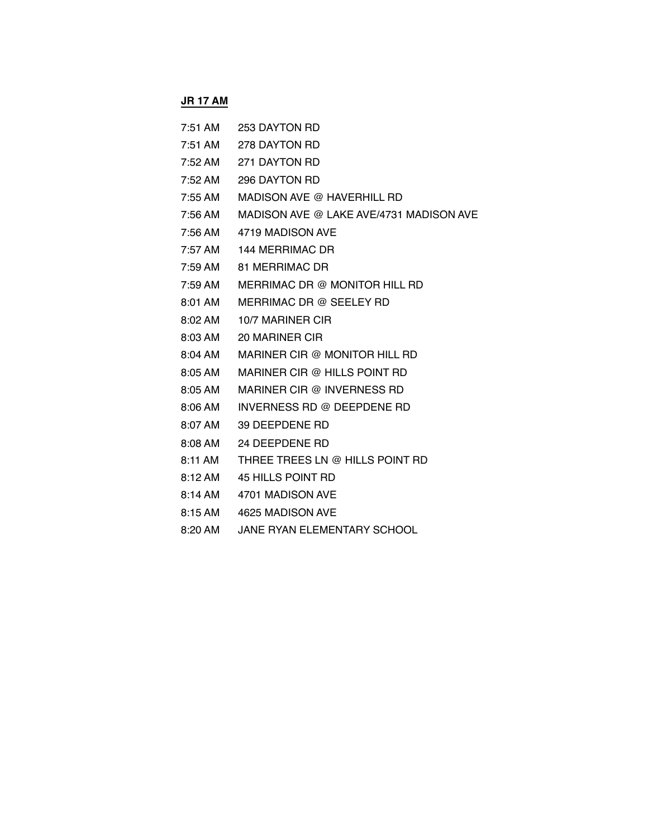### **JR 17 AM**

- 7:51 AM 253 DAYTON RD
- 7:51 AM 278 DAYTON RD
- 7:52 AM 271 DAYTON RD
- 7:52 AM 296 DAYTON RD
- 7:55 AM MADISON AVE @ HAVERHILL RD
- 7:56 AM MADISON AVE @ LAKE AVE/4731 MADISON AVE
- 7:56 AM 4719 MADISON AVE
- 7:57 AM 144 MERRIMAC DR
- 7:59 AM 81 MERRIMAC DR
- 7:59 AM MERRIMAC DR @ MONITOR HILL RD
- 8:01 AM MERRIMAC DR @ SEELEY RD
- 8:02 AM 10/7 MARINER CIR
- 8:03 AM 20 MARINER CIR
- 8:04 AM MARINER CIR @ MONITOR HILL RD
- 8:05 AM MARINER CIR @ HILLS POINT RD
- 8:05 AM MARINER CIR @ INVERNESS RD
- 8:06 AM INVERNESS RD @ DEEPDENE RD
- 8:07 AM 39 DEEPDENE RD
- 8:08 AM 24 DEEPDENE RD
- 8:11 AM THREE TREES LN @ HILLS POINT RD
- 8:12 AM 45 HILLS POINT RD
- 8:14 AM 4701 MADISON AVE
- 8:15 AM 4625 MADISON AVE
- 8:20 AM JANE RYAN ELEMENTARY SCHOOL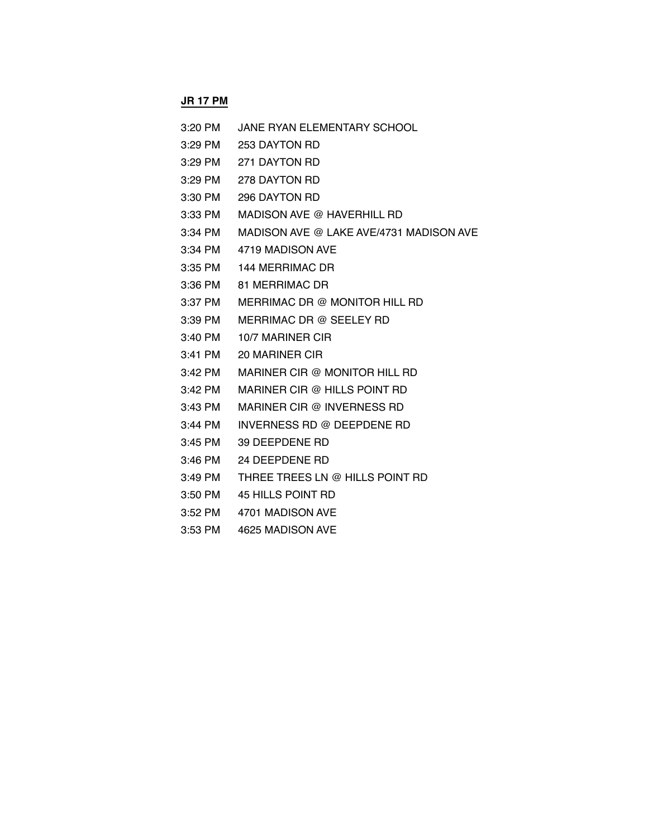### **JR 17 PM**

- 3:20 PM JANE RYAN ELEMENTARY SCHOOL
- 3:29 PM 253 DAYTON RD
- 3:29 PM 271 DAYTON RD
- 3:29 PM 278 DAYTON RD
- 3:30 PM 296 DAYTON RD
- 3:33 PM MADISON AVE @ HAVERHILL RD
- 3:34 PM MADISON AVE @ LAKE AVE/4731 MADISON AVE
- 3:34 PM 4719 MADISON AVE
- 3:35 PM 144 MERRIMAC DR
- 3:36 PM 81 MERRIMAC DR
- 3:37 PM MERRIMAC DR @ MONITOR HILL RD
- 3:39 PM MERRIMAC DR @ SEELEY RD
- 3:40 PM 10/7 MARINER CIR
- 3:41 PM 20 MARINER CIR
- 3:42 PM MARINER CIR @ MONITOR HILL RD
- 3:42 PM MARINER CIR @ HILLS POINT RD
- 3:43 PM MARINER CIR @ INVERNESS RD
- 3:44 PM INVERNESS RD @ DEEPDENE RD
- 3:45 PM 39 DEEPDENE RD
- 3:46 PM 24 DEEPDENE RD
- 3:49 PM THREE TREES LN @ HILLS POINT RD
- 3:50 PM 45 HILLS POINT RD
- 3:52 PM 4701 MADISON AVE
- 3:53 PM 4625 MADISON AVE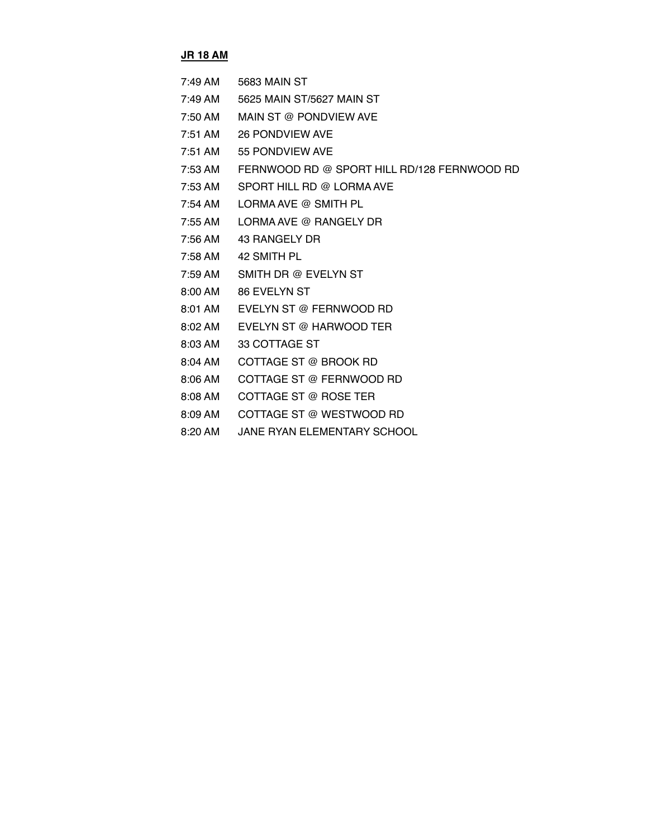#### **JR 18 AM**

| 7:49 AM           | 5683 MAIN ST                                |
|-------------------|---------------------------------------------|
| 7:49 AM           | 5625 MAIN ST/5627 MAIN ST                   |
| 7:50 AM           | MAIN ST @ PONDVIEW AVE                      |
| $7:51$ AM         | 26 PONDVIEW AVE                             |
| $7:51$ AM         | 55 PONDVIEW AVE                             |
| 7:53 AM           | FERNWOOD RD @ SPORT HILL RD/128 FERNWOOD RD |
| 7:53 AM           | SPORT HILL RD @ LORMA AVE                   |
| 7:54 AM           | LORMA AVE @ SMITH PL                        |
| $7:55 \text{ AM}$ | LORMA AVE @ RANGELY DR                      |
| 7:56 AM           | 43 RANGELY DR                               |
| 7:58 AM           | 42 SMITH PL                                 |
| 7:59 AM           | SMITH DR @ EVELYN ST                        |

- 8:00 AM 86 EVELYN ST
- 8:01 AM EVELYN ST @ FERNWOOD RD
- 8:02 AM EVELYN ST @ HARWOOD TER
- 8:03 AM 33 COTTAGE ST
- 8:04 AM COTTAGE ST @ BROOK RD
- 8:06 AM COTTAGE ST @ FERNWOOD RD
- 8:08 AM COTTAGE ST @ ROSE TER
- 8:09 AM COTTAGE ST @ WESTWOOD RD
- 8:20 AM JANE RYAN ELEMENTARY SCHOOL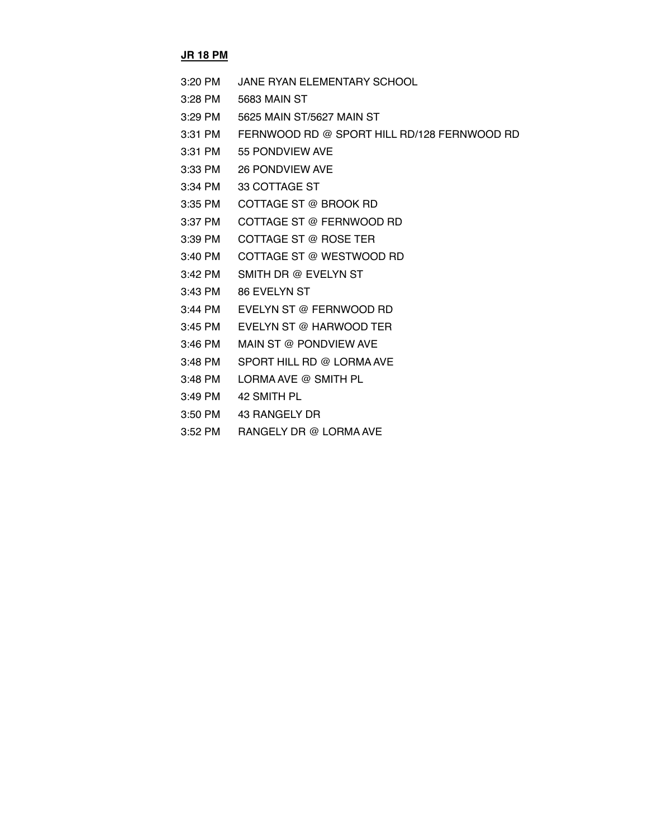#### **JR 18 PM**

- 3:20 PM JANE RYAN ELEMENTARY SCHOOL
- 3:28 PM 5683 MAIN ST
- 3:29 PM 5625 MAIN ST/5627 MAIN ST
- 3:31 PM FERNWOOD RD @ SPORT HILL RD/128 FERNWOOD RD
- 3:31 PM 55 PONDVIEW AVE
- 3:33 PM 26 PONDVIEW AVE
- 3:34 PM 33 COTTAGE ST
- 3:35 PM COTTAGE ST @ BROOK RD
- 3:37 PM COTTAGE ST @ FERNWOOD RD
- 3:39 PM COTTAGE ST @ ROSE TER
- 3:40 PM COTTAGE ST @ WESTWOOD RD
- 3:42 PM SMITH DR @ EVELYN ST
- 3:43 PM 86 EVELYN ST
- 3:44 PM EVELYN ST @ FERNWOOD RD
- 3:45 PM EVELYN ST @ HARWOOD TER
- 3:46 PM MAIN ST @ PONDVIEW AVE
- 3:48 PM SPORT HILL RD @ LORMA AVE
- 3:48 PM LORMA AVE @ SMITH PL
- 3:49 PM 42 SMITH PL
- 3:50 PM 43 RANGELY DR
- 3:52 PM RANGELY DR @ LORMA AVE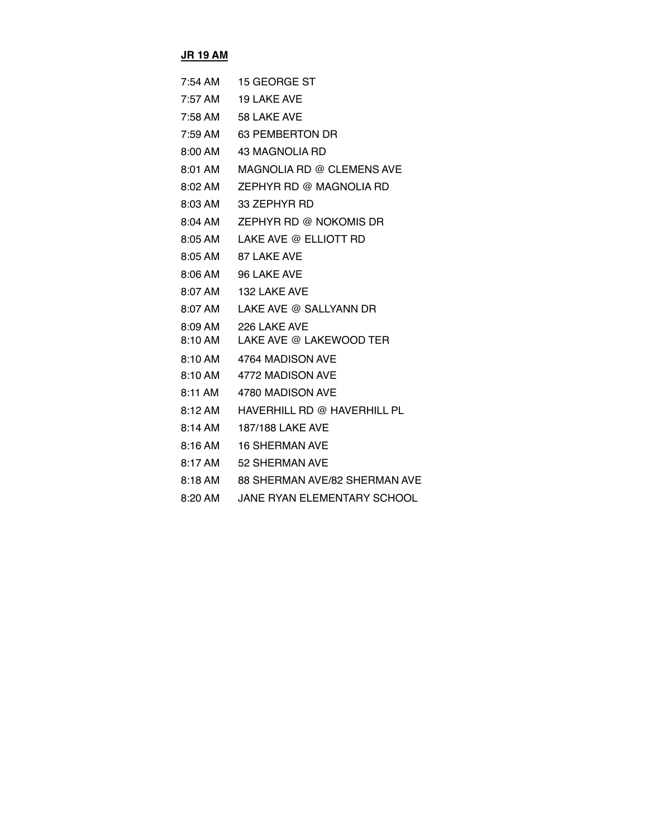# **JR 19 AM**

| 7:54 AM             | 15 GEORGE ST                       |
|---------------------|------------------------------------|
| $7:57 \, \text{AM}$ | <b>19 LAKE AVE</b>                 |
| 7:58 AM             | 58 LAKE AVE                        |
| 7:59 AM             | 63 PEMBERTON DR                    |
| 8:00 AM             | 43 MAGNOLIA RD                     |
| 8:01 AM             | MAGNOLIA RD @ CLEMENS AVE          |
| 8:02 AM             | ZEPHYR RD @ MAGNOLIA RD            |
| 8:03 AM             | 33 ZEPHYR RD                       |
| $8:04$ AM           | ZEPHYR RD @ NOKOMIS DR             |
| 8:05 AM             | LAKE AVE @ ELLIOTT RD              |
| 8:05 AM             | 87 LAKE AVE                        |
| $8:06$ AM           | 96 LAKE AVE                        |
| 8:07 AM             | 132 LAKE AVE                       |
| 8:07 AM             | LAKE AVE @ SALLYANN DR             |
| 8:09 AM             | 226 LAKE AVE                       |
| 8:10 AM             | LAKE AVE @ LAKEWOOD TER            |
| 8:10 AM             | 4764 MADISON AVE                   |
| $8:10 \text{ AM}$   | 4772 MADISON AVE                   |
| 8:11 AM             | 4780 MADISON AVE                   |
| 8:12AM              | HAVERHILL RD @ HAVERHILL PL        |
| $8:14 \text{ AM}$   | 187/188 LAKE AVE                   |
| 8:16 AM             | <b>16 SHERMAN AVE</b>              |
| 8:17 AM             | 52 SHERMAN AVE                     |
| 8:18 AM             | 88 SHERMAN AVE/82 SHERMAN AVE      |
| 8:20 AM             | <b>JANE RYAN ELEMENTARY SCHOOL</b> |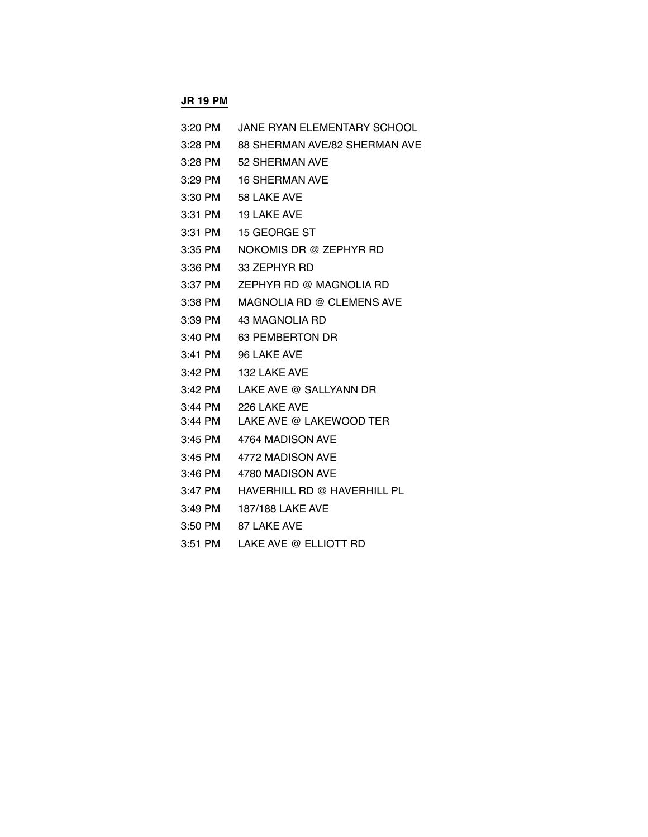#### **JR 19 PM**

| JANE RYAN ELEMENTARY SCHOOL<br>3:20 PM |
|----------------------------------------|
|----------------------------------------|

- 3:28 PM 88 SHERMAN AVE/82 SHERMAN AVE
- 3:28 PM 52 SHERMAN AVE
- 3:29 PM 16 SHERMAN AVE
- 3:30 PM 58 LAKE AVE
- 3:31 PM 19 LAKE AVE
- 3:31 PM 15 GEORGE ST
- 3:35 PM NOKOMIS DR @ ZEPHYR RD
- 3:36 PM 33 ZEPHYR RD
- 3:37 PM ZEPHYR RD @ MAGNOLIA RD
- 3:38 PM MAGNOLIA RD @ CLEMENS AVE
- 3:39 PM 43 MAGNOLIA RD
- 3:40 PM 63 PEMBERTON DR
- 3:41 PM 96 LAKE AVE
- 3:42 PM 132 LAKE AVE
- 3:42 PM LAKE AVE @ SALLYANN DR
- 3:44 PM 226 LAKE AVE
- 3:44 PM LAKE AVE @ LAKEWOOD TER
- 3:45 PM 4764 MADISON AVE
- 3:45 PM 4772 MADISON AVE
- 3:46 PM 4780 MADISON AVE
- 3:47 PM HAVERHILL RD @ HAVERHILL PL
- 3:49 PM 187/188 LAKE AVE
- 3:50 PM 87 LAKE AVE
- 3:51 PM LAKE AVE @ ELLIOTT RD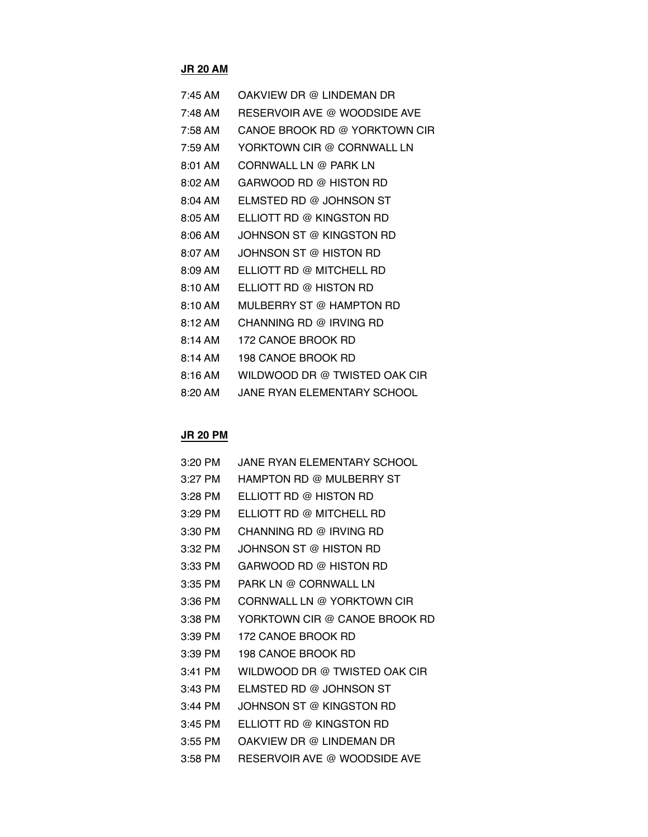# **JR 20 AM**

| $7:45$ AM           | OAKVIEW DR @ LINDEMAN DR      |
|---------------------|-------------------------------|
| 7:48 AM             | RESERVOIR AVE @ WOODSIDE AVE  |
| 7:58 AM             | CANOE BROOK RD @ YORKTOWN CIR |
| $7:59$ AM           | YORKTOWN CIR @ CORNWALL LN    |
| $8:01$ AM           | CORNWALL LN @ PARK LN         |
| $8:02$ AM           | GARWOOD RD @ HISTON RD        |
| 8:04 AM             | ELMSTED RD @ JOHNSON ST       |
| 8:05 AM             | ELLIOTT RD @ KINGSTON RD      |
| $8:06$ AM           | JOHNSON ST @ KINGSTON RD      |
| 8:07 AM             | JOHNSON ST @ HISTON RD        |
| $8:09 \, \text{AM}$ | ELLIOTT RD @ MITCHELL RD      |
| 8:10 AM             | ELLIOTT RD @ HISTON RD        |
| 8:10AM              | MULBERRY ST @ HAMPTON RD      |
| 8:12AM              | CHANNING RD @ IRVING RD       |
| 8:14 AM             | 172 CANOE BROOK RD            |
| 8:14 AM             | 198 CANOE BROOK RD            |
| $8:16$ AM           | WILDWOOD DR @ TWISTED OAK CIR |
| $8:20$ AM           | JANE RYAN ELEMENTARY SCHOOL   |

# **JR 20 PM**

| $3:20$ PM | JANE RYAN ELEMENTARY SCHOOL   |
|-----------|-------------------------------|
| $3:27$ PM | HAMPTON RD @ MULBERRY ST      |
| 3:28 PM   | FLLIOTT RD @ HISTON RD        |
| $3:29$ PM | FLLIOTT RD @ MITCHELL RD      |
| 3:30 PM   | CHANNING RD @ IRVING RD       |
| 3:32 PM   | JOHNSON ST @ HISTON RD        |
| 3:33 PM   | GARWOOD RD @ HISTON RD        |
| 3:35 PM   | PARK LN @ CORNWALL LN         |
| 3:36 PM   | CORNWALL LN @ YORKTOWN CIR    |
| $3:38$ PM | YORKTOWN CIR @ CANOE BROOK RD |
| 3:39 PM   | 172 CANOE BROOK RD            |
| 3:39 PM   | 198 CANOE BROOK RD            |
| $3:41$ PM | WILDWOOD DR @ TWISTED OAK CIR |
| $3:43$ PM | ELMSTED RD @ JOHNSON ST       |
| $3:44$ PM | JOHNSON ST @ KINGSTON RD.     |
| $3:45$ PM | FLLIOTT RD @ KINGSTON RD      |
| 3:55 PM   | OAKVIEW DR @ LINDEMAN DR      |
| $3:58$ PM | RESERVOIR AVE @ WOODSIDE AVE  |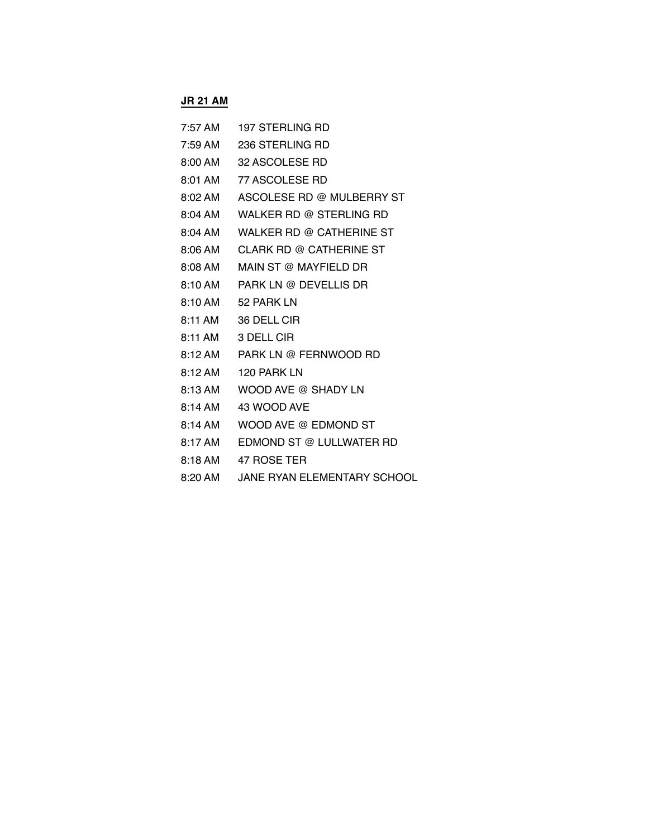## **JR 21 AM**

| 7:57 AM | 197 STERLING RD           |
|---------|---------------------------|
| 7:59 AM | 236 STERLING RD           |
| 8:00 AM | 32 ASCOLESE RD            |
| 8:01 AM | 77 ASCOLESE RD            |
| 8:02 AM | ASCOLESE RD @ MULBERRY ST |
| 8:04 AM | WALKER RD @ STERLING RD   |
| 8:04 AM | WALKER RD @ CATHERINE ST  |
| 8:06 AM | CLARK RD @ CATHERINE ST   |
| 8:08 AM | MAIN ST @ MAYFIELD DR     |
| 8:10 AM | PARK LN @ DEVELLIS DR     |
| 8:10 AM | 52 PARK LN                |
| 8:11 AM | 36 DELL CIR               |
| 8:11 AM | 3 DELL CIR                |
| 8:12 AM | PARK LN @ FERNWOOD RD     |
| 8:12 AM | 120 PARK LN               |
| 8:13 AM | WOOD AVE @ SHADY LN       |
| 8:14 AM | 43 WOOD AVE               |
| 8:14 AM | WOOD AVE @ EDMOND ST      |
| 8:17 AM | EDMOND ST @ LULLWATER RD  |
| 8:18 AM | 47 ROSE TER               |

8:20 AM JANE RYAN ELEMENTARY SCHOOL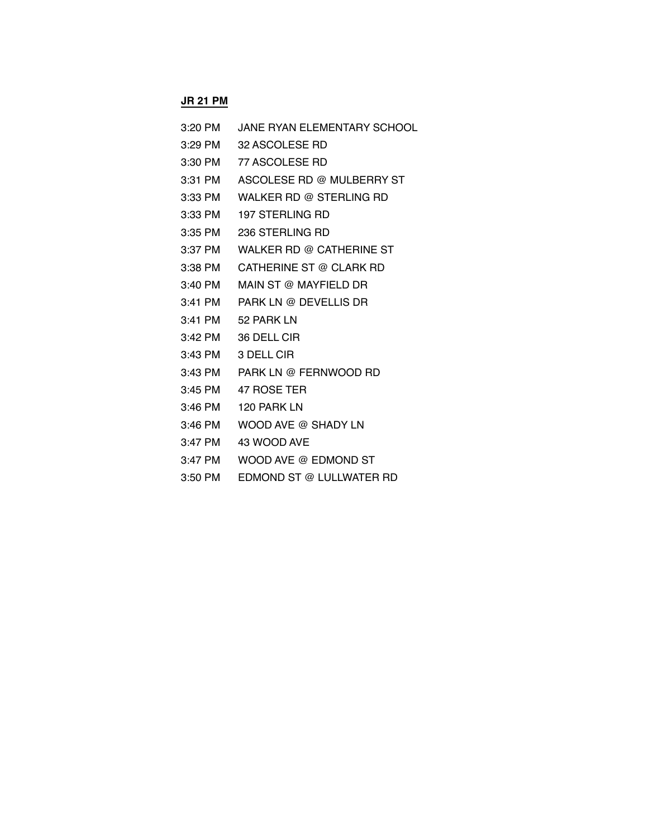## **JR 21 PM**

| 3:20 PM   | JANE RYAN ELEMENTARY SCHOOL |
|-----------|-----------------------------|
| 3:29 PM   | 32 ASCOLESE RD              |
|           | 3:30 PM 77 ASCOLESE RD      |
| 3:31 PM   | ASCOLESE RD @ MULBERRY ST   |
| 3:33 PM   | WALKER RD @ STERLING RD     |
| 3:33 PM   | 197 STERLING RD             |
| $3:35$ PM | 236 STERLING RD             |
| 3:37 PM   | WALKER RD @ CATHERINE ST    |
| 3:38 PM   | CATHERINE ST @ CLARK RD     |
| 3:40 PM   | MAIN ST @ MAYFIELD DR       |
| $3:41$ PM | PARK LN @ DEVELLIS DR       |
| 3:41 PM   | 52 PARK LN                  |
| $3:42$ PM | 36 DELL CIR                 |
| $3:43$ PM | 3 DELL CIR                  |
| 3:43 PM   | PARK LN @ FERNWOOD RD       |
| $3:45$ PM | 47 ROSE TER                 |
| 3:46 PM   | 120 PARK LN                 |
| $3:46$ PM | WOOD AVE @ SHADY LN         |
| $3:47$ PM | 43 WOOD AVE                 |
| $3:47$ PM | WOOD AVE @ EDMOND ST        |

3:50 PM EDMOND ST @ LULLWATER RD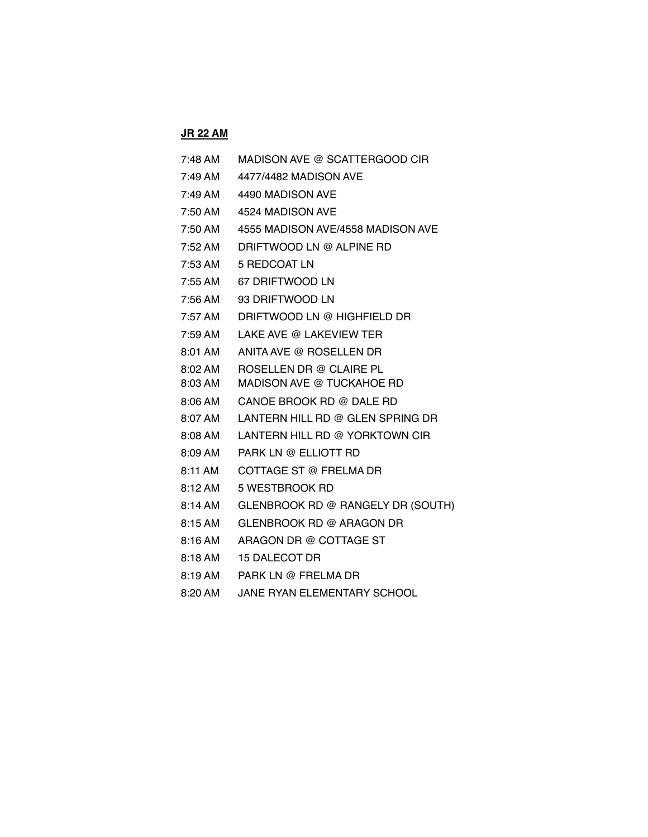# **JR 22 AM**

| 7:48 AM            | MADISON AVE @ SCATTERGOOD CIR                        |
|--------------------|------------------------------------------------------|
| $7:49$ AM          | 4477/4482 MADISON AVE                                |
| 7:49 AM            | 4490 MADISON AVE                                     |
| 7:50 AM            | 4524 MADISON AVE                                     |
| 7:50 AM            | 4555 MADISON AVE/4558 MADISON AVE                    |
| 7:52 AM            | DRIFTWOOD LN @ ALPINE RD                             |
| $7:53$ AM          | 5 REDCOAT LN                                         |
| 7:55 AM            | 67 DRIFTWOOD LN                                      |
| $7:56$ AM          | 93 DRIFTWOOD LN                                      |
| 7:57 AM            | DRIFTWOOD LN @ HIGHFIELD DR                          |
| 7:59 AM            | LAKE AVE @ LAKEVIEW TER                              |
| 8:01 AM            | ANITA AVE @ ROSELLEN DR                              |
| 8:02 AM<br>8:03 AM | ROSELLEN DR @ CLAIRE PL<br>MADISON AVE @ TUCKAHOE RD |
| $8:06$ AM          | CANOE BROOK RD @ DALE RD                             |
| 8:07 AM            | LANTERN HILL RD @ GLEN SPRING DR                     |
| 8:08 AM            | LANTERN HILL RD @ YORKTOWN CIR                       |
| 8:09 AM            | PARK LN @ ELLIOTT RD                                 |
| 8:11 AM            | COTTAGE ST @ FRELMA DR                               |
| 8:12AM             | 5 WESTBROOK RD                                       |
| $8:14$ AM          | GLENBROOK RD @ RANGELY DR (SOUTH)                    |
| 8:15AM             | GLENBROOK RD @ ARAGON DR                             |
| 8:16 AM            | ARAGON DR @ COTTAGE ST                               |
| 8:18 AM            | <b>15 DALECOT DR</b>                                 |
| 8:19 AM            | PARK LN @ FRELMA DR                                  |
|                    |                                                      |

8:20 AM JANE RYAN ELEMENTARY SCHOOL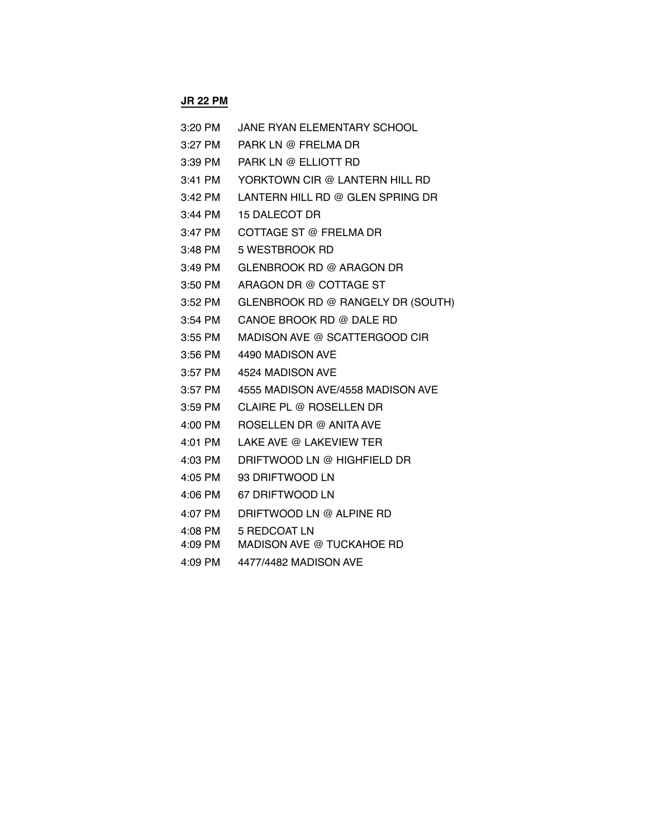### **JR 22 PM**

| 3:20 PM | JANE RYAN ELEMENTARY SCHOOL       |
|---------|-----------------------------------|
| 3:27 PM | PARK LN @ FRELMA DR               |
| 3:39 PM | PARK LN @ ELLIOTT RD              |
| 3:41 PM | YORKTOWN CIR @ LANTERN HILL RD    |
| 3:42 PM | LANTERN HILL RD @ GLEN SPRING DR  |
| 3:44 PM | <b>15 DALECOT DR</b>              |
| 3:47 PM | COTTAGE ST @ FRELMA DR            |
| 3:48 PM | 5 WESTBROOK RD                    |
| 3:49 PM | GLENBROOK RD @ ARAGON DR          |
| 3:50 PM | ARAGON DR @ COTTAGE ST            |
| 3:52 PM | GLENBROOK RD @ RANGELY DR (SOUTH) |
| 3:54 PM | CANOE BROOK RD @ DALE RD          |
| 3:55 PM | MADISON AVE @ SCATTERGOOD CIR     |
| 3:56 PM | 4490 MADISON AVE                  |
| 3:57 PM | 4524 MADISON AVE                  |
| 3:57 PM | 4555 MADISON AVE/4558 MADISON AVE |
| 3:59 PM | <b>CLAIRE PL @ ROSELLEN DR</b>    |
| 4:00 PM | ROSELLEN DR @ ANITA AVE           |
| 4:01 PM | LAKE AVE @ LAKEVIEW TER           |
| 4:03 PM | DRIFTWOOD LN @ HIGHFIELD DR       |
| 4:05 PM | 93 DRIFTWOOD LN                   |
| 4:06 PM | 67 DRIFTWOOD LN                   |
| 4:07 PM | DRIFTWOOD LN @ ALPINE RD          |
| 4:08 PM | 5 REDCOAT LN                      |
| 4:09 PM | <b>MADISON AVE @ TUCKAHOE RD</b>  |

4:09 PM 4477/4482 MADISON AVE